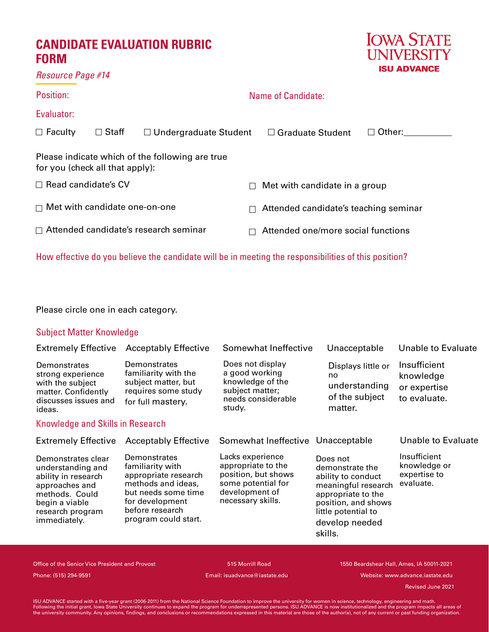# **CANDIDATE EVALUATION RUBRIC FORM**



| Resource Page #14 |  |  |
|-------------------|--|--|
|-------------------|--|--|

## Position: Evaluator: Name of Candidate:  $\Box$  Faculty Please indicate which of the following are true for you (check all that apply):  $\Box$  Read candidate's CV □ Met with candidate one-on-one  $\Box$  Attended candidate's research seminar  $\Box$  Met with candidate in a group  $\Box$  Attended candidate's teaching seminar  $\Box$  Attended one/more social functions  $\square$  Staff  $\square$  Undergraduate Student  $\square$  Graduate Student  $\square$  Other:

How effective do you believe the candidate will be in meeting the responsibilities of this position?

Please circle one in each category.

#### Subject Matter Knowledge

| <b>Extremely Effective</b>                                                                                                                               | <b>Acceptably Effective</b>                                                                                                                                         | Somewhat Ineffective                                                                                                       | Unacceptable                                                                                                                                                              | Unable to Evaluate                                        |
|----------------------------------------------------------------------------------------------------------------------------------------------------------|---------------------------------------------------------------------------------------------------------------------------------------------------------------------|----------------------------------------------------------------------------------------------------------------------------|---------------------------------------------------------------------------------------------------------------------------------------------------------------------------|-----------------------------------------------------------|
| Demonstrates<br>strong experience<br>with the subject<br>matter. Confidently<br>discusses issues and<br>ideas.                                           | Demonstrates<br>familiarity with the<br>subject matter, but<br>requires some study<br>for full mastery.                                                             | Does not display<br>a good working<br>knowledge of the<br>subject matter;<br>needs considerable<br>study.                  | Displays little or<br>no<br>understanding<br>of the subject<br>matter.                                                                                                    | Insufficient<br>knowledge<br>or expertise<br>to evaluate. |
| Knowledge and Skills in Research                                                                                                                         |                                                                                                                                                                     |                                                                                                                            |                                                                                                                                                                           |                                                           |
| <b>Extremely Effective</b>                                                                                                                               | <b>Acceptably Effective</b>                                                                                                                                         | Somewhat Ineffective                                                                                                       | Unacceptable                                                                                                                                                              | Unable to Evaluate                                        |
| Demonstrates clear<br>understanding and<br>ability in research<br>approaches and<br>methods. Could<br>begin a viable<br>research program<br>immediately. | Demonstrates<br>familiarity with<br>appropriate research<br>methods and ideas,<br>but needs some time<br>for development<br>before research<br>program could start. | Lacks experience<br>appropriate to the<br>position, but shows<br>some potential for<br>development of<br>necessary skills. | Does not<br>demonstrate the<br>ability to conduct<br>meaningful research<br>appropriate to the<br>position, and shows<br>little potential to<br>develop needed<br>skills. | Insufficient<br>knowledge or<br>expertise to<br>evaluate. |

Office of the Senior Vice President and Provost 515 Morrill Road 1550 Beardshear Hall, Ames, IA 50011-2021 Phone: (515) 294-9591 Email: isuadvance@iastate.edu Website: www.advance.iastate.edu

 Revised May 2020 Revised June 2021

ISU ADVANCE started with a five-year grant (2006-2011) from the National Science Foundation to improve the university for women in science, technology, engineering and math.<br>Following the initial grant, lowa State Universi the university community. Any opinions, findings, and conclusions or recommendations expressed in this material are those of the author(s), not of any current or past funding organization.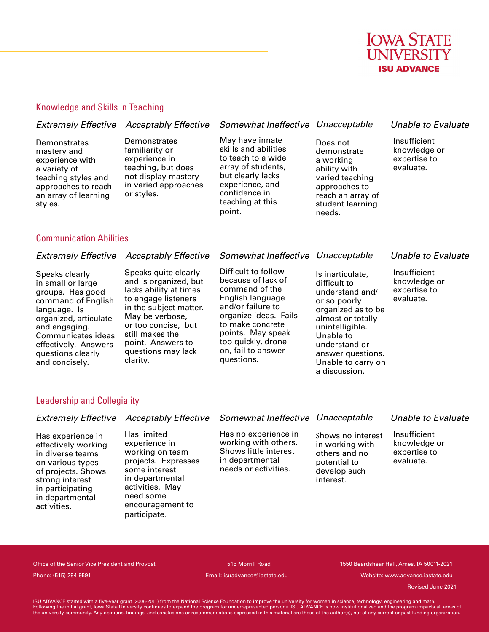

reach an array of student learning

needs.

#### Knowledge and Skills in Teaching

#### *Extremely Effective Acceptably Effective Somewhat Ineffective Unacceptable Unable to Evaluate* **Demonstrates** mastery and experience with a variety of teaching styles and approaches to reach **Demonstrates** familiarity or experience in teaching, but does not display mastery in varied approaches or styles. May have innate skills and abilities to teach to a wide array of students, but clearly lacks experience, and confidence in Does not demonstrate a working ability with varied teaching approaches to Insufficient knowledge or expertise to evaluate.

teaching at this

point.

#### Communication Abilities

an array of learning

styles.

| Difficult to follow<br>Speaks quite clearly<br>Insufficient<br>Speaks clearly<br>Is inarticulate,<br>because of lack of<br>and is organized, but<br>knowledge or<br>difficult to<br>in small or large<br>command of the<br>lacks ability at times<br>expertise to<br>groups. Has good<br>understand and/<br>English language<br>to engage listeners<br>evaluate.<br>command of English<br>or so poorly<br>and/or failure to<br>in the subject matter.<br>organized as to be<br>language. Is<br>organize ideas. Fails<br>May be verbose,<br>organized, articulate<br>almost or totally<br>to make concrete<br>or too concise, but<br>and engaging.<br>unintelligible. |                    | <b>Extremely Effective</b> Acceptably Effective | Somewhat Ineffective Unacceptable |           | <b>Unable to Evaluate</b> |
|----------------------------------------------------------------------------------------------------------------------------------------------------------------------------------------------------------------------------------------------------------------------------------------------------------------------------------------------------------------------------------------------------------------------------------------------------------------------------------------------------------------------------------------------------------------------------------------------------------------------------------------------------------------------|--------------------|-------------------------------------------------|-----------------------------------|-----------|---------------------------|
| too quickly, drone<br>point. Answers to<br>effectively. Answers<br>understand or<br>on, fail to answer<br>questions may lack<br>questions clearly<br>answer questions.<br>questions.<br>clarity.<br>and concisely.<br>Unable to carry on<br>a discussion.                                                                                                                                                                                                                                                                                                                                                                                                            | Communicates ideas | still makes the                                 | points. May speak                 | Unable to |                           |

#### Leadership and Collegiality

activities.

|                                                                                                                                                                  |                                                                                                                                            | Extremely Effective Acceptably Effective Somewhat Ineffective Unacceptable                                       |                                                                                                    | Unable to Evaluate                                        |
|------------------------------------------------------------------------------------------------------------------------------------------------------------------|--------------------------------------------------------------------------------------------------------------------------------------------|------------------------------------------------------------------------------------------------------------------|----------------------------------------------------------------------------------------------------|-----------------------------------------------------------|
| Has experience in<br>effectively working<br>in diverse teams<br>on various types<br>of projects. Shows<br>strong interest<br>in participating<br>in departmental | Has limited<br>experience in<br>working on team<br>projects. Expresses<br>some interest<br>in departmental<br>activities. May<br>need some | Has no experience in<br>working with others.<br>Shows little interest<br>in departmental<br>needs or activities. | Shows no interest<br>in working with<br>others and no<br>potential to<br>develop such<br>interest. | Insufficient<br>knowledge or<br>expertise to<br>evaluate. |

Office of the Senior Vice President and Provost 515 Morrill Road 1550 Beardshear Hall, Ames, IA 50011-2021 Phone: (515) 294-9591 Email: isuadvance@iastate.edu Website: www.advance.iastate.edu

encouragement to

participate.

 Revised May 2020 Revised June 2021

ISU ADVANCE started with a five-year grant (2006-2011) from the National Science Foundation to improve the university for women in science, technology, engineering and math.<br>Following the initial grant, lowa State Universi the university community. Any opinions, findings, and conclusions or recommendations expressed in this material are those of the author(s), not of any current or past funding organization.